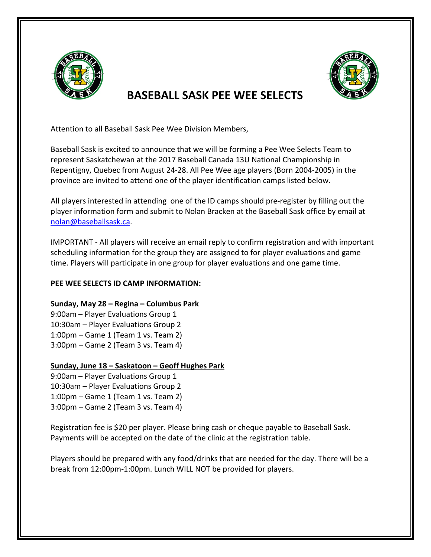

# **BASEBALL SASK PFF WFF SFLECTS**

Attention to all Baseball Sask Pee Wee Division Members,

Baseball Sask is excited to announce that we will be forming a Pee Wee Selects Team to represent Saskatchewan at the 2017 Baseball Canada 13U National Championship in Repentigny, Quebec from August 24-28. All Pee Wee age players (Born 2004-2005) in the province are invited to attend one of the player identification camps listed below.

All players interested in attending one of the ID camps should pre-register by filling out the player information form and submit to Nolan Bracken at the Baseball Sask office by email at nolan@baseballsask.ca. 

IMPORTANT - All players will receive an email reply to confirm registration and with important scheduling information for the group they are assigned to for player evaluations and game time. Players will participate in one group for player evaluations and one game time.

### **PEE WEE SELECTS ID CAMP INFORMATION:**

# **Sunday, May 28 – Regina – Columbus Park**

9:00am - Player Evaluations Group 1 10:30am - Player Evaluations Group 2  $1:00$ pm – Game  $1$  (Team  $1$  vs. Team  $2)$ )  $3:00$ pm – Game 2 (Team 3 vs. Team 4)

# **Sunday, June 18 – Saskatoon – Geoff Hughes Park**

9:00am – Player Evaluations Group 1 10:30am - Player Evaluations Group 2  $1:00$ pm – Game  $1$  (Team  $1$  vs. Team  $2)$ )  $3:00$ pm – Game 2 (Team 3 vs. Team 4)

Registration fee is \$20 per player. Please bring cash or cheque payable to Baseball Sask. Payments will be accepted on the date of the clinic at the registration table.

Players should be prepared with any food/drinks that are needed for the day. There will be a break from 12:00pm-1:00pm. Lunch WILL NOT be provided for players.